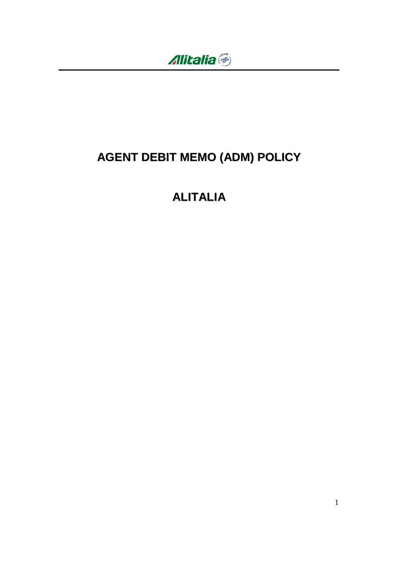

# **AGENT DEBIT MEMO (ADM) POLICY**

## **ALITALIA**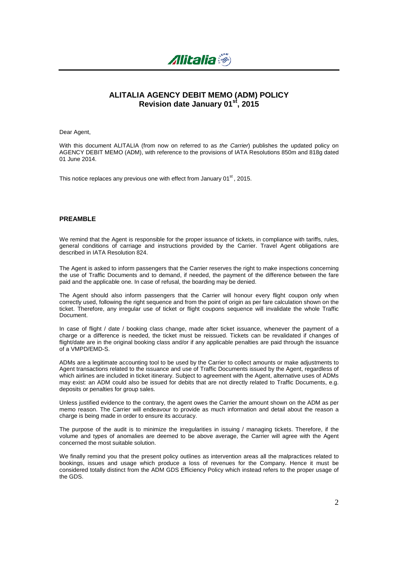

## **ALITALIA AGENCY DEBIT MEMO (ADM) POLICY Revision date January 01st, 2015**

Dear Agent,

With this document ALITALIA (from now on referred to as the Carrier) publishes the updated policy on AGENCY DEBIT MEMO (ADM), with reference to the provisions of IATA Resolutions 850m and 818g dated 01 June 2014.

This notice replaces any previous one with effect from January 01<sup>st</sup>, 2015.

#### **PREAMBLE**

We remind that the Agent is responsible for the proper issuance of tickets, in compliance with tariffs, rules, general conditions of carriage and instructions provided by the Carrier. Travel Agent obligations are described in IATA Resolution 824.

The Agent is asked to inform passengers that the Carrier reserves the right to make inspections concerning the use of Traffic Documents and to demand, if needed, the payment of the difference between the fare paid and the applicable one. In case of refusal, the boarding may be denied.

The Agent should also inform passengers that the Carrier will honour every flight coupon only when correctly used, following the right sequence and from the point of origin as per fare calculation shown on the ticket. Therefore, any irregular use of ticket or flight coupons sequence will invalidate the whole Traffic Document.

In case of flight / date / booking class change, made after ticket issuance, whenever the payment of a charge or a difference is needed, the ticket must be reissued. Tickets can be revalidated if changes of flight/date are in the original booking class and/or if any applicable penalties are paid through the issuance of a VMPD/EMD-S.

ADMs are a legitimate accounting tool to be used by the Carrier to collect amounts or make adjustments to Agent transactions related to the issuance and use of Traffic Documents issued by the Agent, regardless of which airlines are included in ticket itinerary. Subject to agreement with the Agent, alternative uses of ADMs may exist: an ADM could also be issued for debits that are not directly related to Traffic Documents, e.g. deposits or penalties for group sales.

Unless justified evidence to the contrary, the agent owes the Carrier the amount shown on the ADM as per memo reason. The Carrier will endeavour to provide as much information and detail about the reason a charge is being made in order to ensure its accuracy.

The purpose of the audit is to minimize the irregularities in issuing / managing tickets. Therefore, if the volume and types of anomalies are deemed to be above average, the Carrier will agree with the Agent concerned the most suitable solution.

We finally remind you that the present policy outlines as intervention areas all the malpractices related to bookings, issues and usage which produce a loss of revenues for the Company. Hence it must be considered totally distinct from the ADM GDS Efficiency Policy which instead refers to the proper usage of the GDS.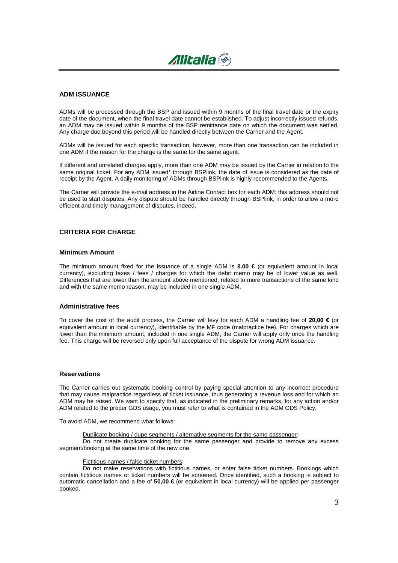

#### **ADM ISSUANCE**

ADMs will be processed through the BSP and issued within 9 months of the final travel date or the expiry date of the document, when the final travel date cannot be established. To adjust incorrectly issued refunds, an ADM may be issued within 9 months of the BSP remittance date on which the document was settled. Any charge due beyond this period will be handled directly between the Carrier and the Agent.

ADMs will be issued for each specific transaction; however, more than one transaction can be included in one ADM if the reason for the charge is the same for the same agent.

If different and unrelated charges apply, more than one ADM may be issued by the Carrier in relation to the same original ticket. For any ADM issued\* through BSPlink, the date of issue is considered as the date of receipt by the Agent. A daily monitoring of ADMs through BSPlink is highly recommended to the Agents.

The Carrier will provide the e-mail address in the Airline Contact box for each ADM: this address should not be used to start disputes. Any dispute should be handled directly through BSPlink, in order to allow a more efficient and timely management of disputes, indeed.

### **CRITERIA FOR CHARGE**

#### **Minimum Amount**

The minimum amount fixed for the issuance of a single ADM is **8.00 €** (or equivalent amount in local currency), excluding taxes / fees / charges for which the debit memo may be of lower value as well. Differences that are lower than the amount above mentioned, related to more transactions of the same kind and with the same memo reason, may be included in one single ADM.

#### **Administrative fees**

To cover the cost of the audit process, the Carrier will levy for each ADM a handling fee of **20,00 €** (or equivalent amount in local currency), identifiable by the MF code (malpractice fee). For charges which are lower than the minimum amount, included in one single ADM, the Carrier will apply only once the handling fee. This charge will be reversed only upon full acceptance of the dispute for wrong ADM issuance.

#### **Reservations**

The Carrier carries out systematic booking control by paying special attention to any incorrect procedure that may cause malpractice regardless of ticket issuance, thus generating a revenue loss and for which an ADM may be raised. We want to specify that, as indicated in the preliminary remarks, for any action and/or ADM related to the proper GDS usage, you must refer to what is contained in the ADM GDS Policy.

To avoid ADM, we recommend what follows:

Duplicate booking / dupe segments / alternative segments for the same passenger:

Do not create duplicate booking for the same passenger and provide to remove any excess segment/booking at the same time of the new one.

#### Fictitious names / false ticket numbers:

Do not make reservations with fictitious names, or enter false ticket numbers. Bookings which contain fictitious names or ticket numbers will be screened. Once identified, such a booking is subject to automatic cancellation and a fee of **50,00 €** (or equivalent in local currency) will be applied per passenger booked.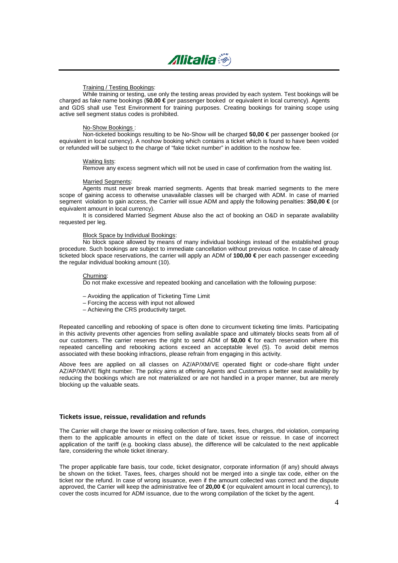

#### Training / Testing Bookings:

While training or testing, use only the testing areas provided by each system. Test bookings will be charged as fake name bookings (**50.00 €** per passenger booked or equivalent in local currency). Agents and GDS shall use Test Environment for training purposes. Creating bookings for training scope using active sell segment status codes is prohibited.

#### No-Show Bookings :

Non-ticketed bookings resulting to be No-Show will be charged **50,00 €** per passenger booked (or equivalent in local currency). A noshow booking which contains a ticket which is found to have been voided or refunded will be subject to the charge of "fake ticket number" in addition to the noshow fee.

#### Waiting lists:

Remove any excess segment which will not be used in case of confirmation from the waiting list.

#### Married Segments:

Agents must never break married segments. Agents that break married segments to the mere scope of gaining access to otherwise unavailable classes will be charged with ADM. In case of married segment violation to gain access, the Carrier will issue ADM and apply the following penalties: **350,00 €** (or equivalent amount in local currency).

It is considered Married Segment Abuse also the act of booking an O&D in separate availability requested per leg.

#### Block Space by Individual Bookings:

No block space allowed by means of many individual bookings instead of the established group procedure. Such bookings are subject to immediate cancellation without previous notice. In case of already ticketed block space reservations, the carrier will apply an ADM of **100,00 €** per each passenger exceeding the regular individual booking amount (10).

#### Churning:

Do not make excessive and repeated booking and cancellation with the following purpose:

- Avoiding the application of Ticketing Time Limit
- Forcing the access with input not allowed
- Achieving the CRS productivity target.

Repeated cancelling and rebooking of space is often done to circumvent ticketing time limits. Participating in this activity prevents other agencies from selling available space and ultimately blocks seats from all of our customers. The carrier reserves the right to send ADM of **50,00 €** for each reservation where this repeated cancelling and rebooking actions exceed an acceptable level (5). To avoid debit memos associated with these booking infractions, please refrain from engaging in this activity.

Above fees are applied on all classes on AZ/AP/XM/VE operated flight or code-share flight under AZ/AP/XM/VE flight number. The policy aims at offering Agents and Customers a better seat availability by reducing the bookings which are not materialized or are not handled in a proper manner, but are merely blocking up the valuable seats.

#### **Tickets issue, reissue, revalidation and refunds**

The Carrier will charge the lower or missing collection of fare, taxes, fees, charges, rbd violation, comparing them to the applicable amounts in effect on the date of ticket issue or reissue. In case of incorrect application of the tariff (e.g. booking class abuse), the difference will be calculated to the next applicable fare, considering the whole ticket itinerary.

The proper applicable fare basis, tour code, ticket designator, corporate information (if any) should always be shown on the ticket. Taxes, fees, charges should not be merged into a single tax code, either on the ticket nor the refund. In case of wrong issuance, even if the amount collected was correct and the dispute approved, the Carrier will keep the administrative fee of **20,00 €** (or equivalent amount in local currency), to cover the costs incurred for ADM issuance, due to the wrong compilation of the ticket by the agent.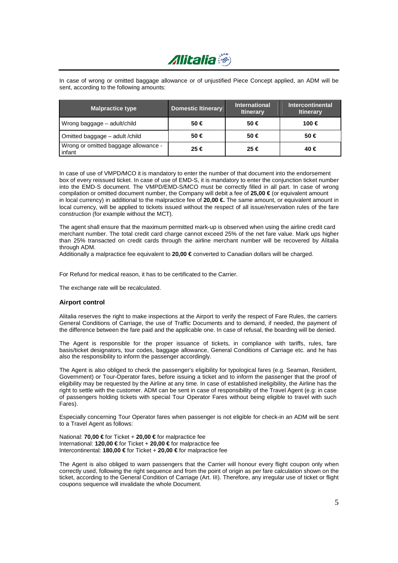

In case of wrong or omitted baggage allowance or of unjustified Piece Concept applied, an ADM will be sent, according to the following amounts:

| <b>Malpractice type</b>                        | <b>Domestic Itinerary</b> | <b>International</b><br><b>Itinerary</b> | <b>Intercontinental</b><br><b>Itinerary</b> |
|------------------------------------------------|---------------------------|------------------------------------------|---------------------------------------------|
| Wrong baggage – adult/child                    | $50 \in$                  | $50 \in$                                 | 100 €                                       |
| Omitted baggage – adult / child                | 50 €                      | $50 \in$                                 | $50 \in$                                    |
| Wrong or omitted baggage allowance -<br>infant | 25 €                      | 25 €                                     | 40 €                                        |

In case of use of VMPD/MCO it is mandatory to enter the number of that document into the endorsement box of every reissued ticket. In case of use of EMD-S, it is mandatory to enter the conjunction ticket number into the EMD-S document. The VMPD/EMD-S/MCO must be correctly filled in all part. In case of wrong compilation or omitted document number, the Company will debit a fee of **25,00 €** (or equivalent amount in local currency) in additional to the malpractice fee of **20,00 €.** The same amount, or equivalent amount in local currency, will be applied to tickets issued without the respect of all issue/reservation rules of the fare construction (for example without the MCT).

The agent shall ensure that the maximum permitted mark-up is observed when using the airline credit card merchant number. The total credit card charge cannot exceed 25% of the net fare value. Mark ups higher than 25% transacted on credit cards through the airline merchant number will be recovered by Alitalia through ADM.

Additionally a malpractice fee equivalent to **20,00 €** converted to Canadian dollars will be charged.

For Refund for medical reason, it has to be certificated to the Carrier.

The exchange rate will be recalculated.

#### **Airport control**

Alitalia reserves the right to make inspections at the Airport to verify the respect of Fare Rules, the carriers General Conditions of Carriage, the use of Traffic Documents and to demand, if needed, the payment of the difference between the fare paid and the applicable one. In case of refusal, the boarding will be denied.

The Agent is responsible for the proper issuance of tickets, in compliance with tariffs, rules, fare basis/ticket designators, tour codes, baggage allowance, General Conditions of Carriage etc. and he has also the responsibility to inform the passenger accordingly.

The Agent is also obliged to check the passenger's eligibility for typological fares (e.g. Seaman, Resident, Government) or Tour-Operator fares, before issuing a ticket and to inform the passenger that the proof of eligibility may be requested by the Airline at any time. In case of established ineligibility, the Airline has the right to settle with the customer. ADM can be sent in case of responsibility of the Travel Agent (e.g: in case of passengers holding tickets with special Tour Operator Fares without being eligible to travel with such Fares).

Especially concerning Tour Operator fares when passenger is not eligible for check-in an ADM will be sent to a Travel Agent as follows:

National: **70,00 €** for Ticket + **20,00 €** for malpractice fee International: **120,00 €** for Ticket + **20,00 €** for malpractice fee Intercontinental: **180,00 €** for Ticket + **20,00 €** for malpractice fee

The Agent is also obliged to warn passengers that the Carrier will honour every flight coupon only when correctly used, following the right sequence and from the point of origin as per fare calculation shown on the ticket, according to the General Condition of Carriage (Art. III). Therefore, any irregular use of ticket or flight coupons sequence will invalidate the whole Document.